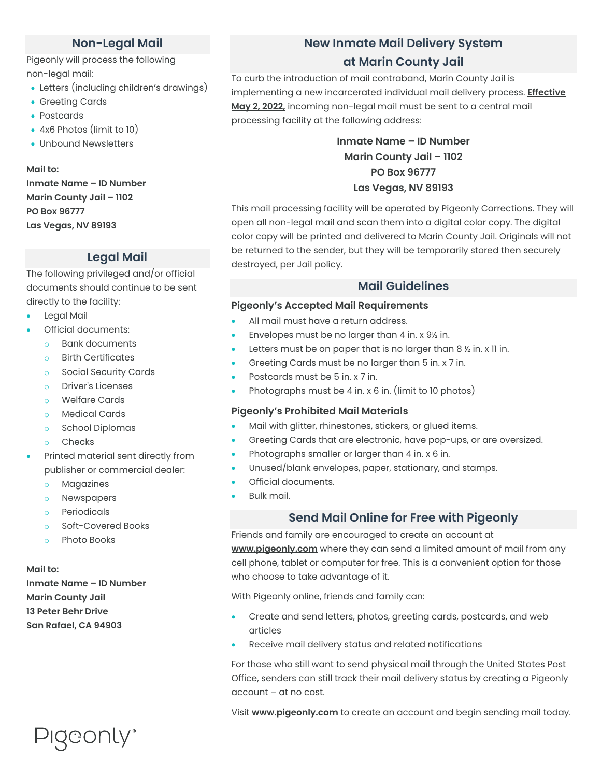## **Non-Legal Mail**

Pigeonly will process the following non-legal mail:

- Letters (including children's drawings)
- Greeting Cards
- Postcards
- 4x6 Photos (limit to 10)
- Unbound Newsletters

**Mail to: Inmate Name – ID Number Marin County Jail – 1102 PO Box 96777 Las Vegas, NV 89193**

# **Legal Mail**

The following privileged and/or official documents should continue to be sent directly to the facility:

- Legal Mail
- Official documents:
	- o Bank documents
	- o Birth Certificates
	- o Social Security Cards
	- o Driver's Licenses
	- o Welfare Cards
	- o Medical Cards
	- o School Diplomas
	- o Checks
- Printed material sent directly from publisher or commercial dealer:
	- o Magazines
	- o Newspapers
	- o Periodicals
	- o Soft-Covered Books
	- o Photo Books

**Mail to:**

**Inmate Name – ID Number Marin County Jail 13 Peter Behr Drive San Rafael, CA 94903**

Pigeonly<sup>®</sup>

# **New Inmate Mail Delivery System**

# **at Marin County Jail**

To curb the introduction of mail contraband, Marin County Jail is implementing a new incarcerated individual mail delivery process. **Effective May 2, 2022,** incoming non-legal mail must be sent to a central mail processing facility at the following address:

> **Inmate Name – ID Number Marin County Jail – 1102 PO Box 96777 Las Vegas, NV 89193**

This mail processing facility will be operated by Pigeonly Corrections. They will open all non-legal mail and scan them into a digital color copy. The digital color copy will be printed and delivered to Marin County Jail. Originals will not be returned to the sender, but they will be temporarily stored then securely destroyed, per Jail policy.

### **Mail Guidelines**

### **Pigeonly's Accepted Mail Requirements**

- All mail must have a return address.
- Envelopes must be no larger than 4 in. x 9½ in.
- Letters must be on paper that is no larger than 8  $\frac{1}{2}$  in. x 11 in.
- Greeting Cards must be no larger than 5 in. x 7 in.
- Postcards must be 5 in. x 7 in.
- Photographs must be 4 in. x 6 in. (limit to 10 photos)

### **Pigeonly's Prohibited Mail Materials**

- Mail with glitter, rhinestones, stickers, or glued items.
- Greeting Cards that are electronic, have pop-ups, or are oversized.
- Photographs smaller or larger than 4 in. x 6 in.
- Unused/blank envelopes, paper, stationary, and stamps.
- Official documents.
- Bulk mail.

### **Send Mail Online for Free with Pigeonly**

Friends and family are encouraged to create an account at **www.pigeonly.com** where they can send a limited amount of mail from any cell phone, tablet or computer for free. This is a convenient option for those who choose to take advantage of it.

With Pigeonly online, friends and family can:

- Create and send letters, photos, greeting cards, postcards, and web articles
- Receive mail delivery status and related notifications

For those who still want to send physical mail through the United States Post Office, senders can still track their mail delivery status by creating a Pigeonly account – at no cost.

Visit **www.pigeonly.com** to create an account and begin sending mail today.